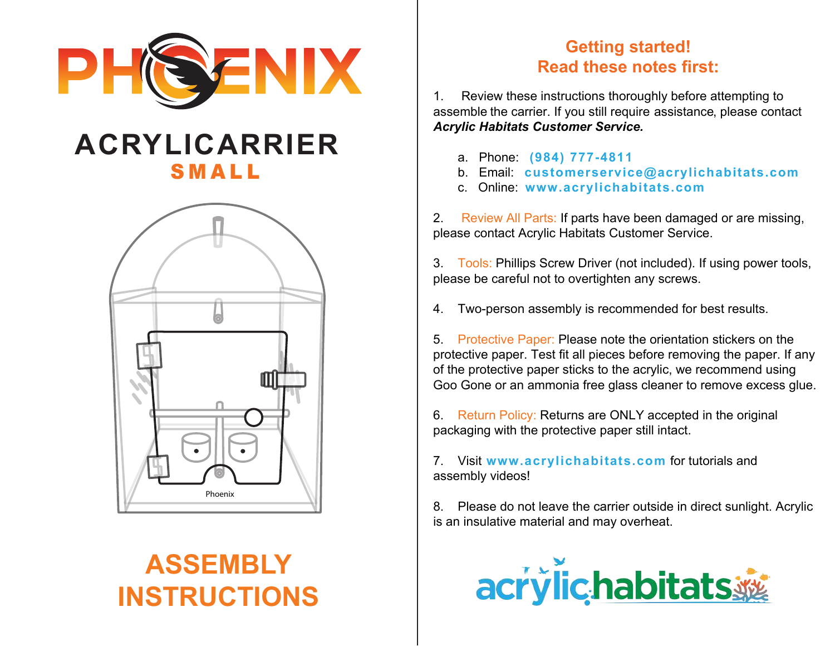

## **ACRYLICARRIER** SMALL



# **ASSEMBLY INSTRUCTIONS**

## **Getting started! Read these notes first:**

1. Review these instructions thoroughly before attempting to assemble the carrier. If you still require assistance, please contact *Acrylic Habitats Customer Service.*

- a. Phone: **(984) 777-4811**
- b. Email: **customerservice@acrylichabitats.com**
- c. Online: **www.acrylichabitats.com**

2. Review All Parts: If parts have been damaged or are missing, please contact Acrylic Habitats Customer Service.

3. Tools: Phillips Screw Driver (not included). If using power tools, please be careful not to overtighten any screws.

4. Two-person assembly is recommended for best results.

5. Protective Paper: Please note the orientation stickers on the protective paper. Test fit all pieces before removing the paper. If any of the protective paper sticks to the acrylic, we recommend using Goo Gone or an ammonia free glass cleaner to remove excess glue.

6. Return Policy: Returns are ONLY accepted in the original packaging with the protective paper still intact.

7. Visit **www.acrylichabitats.com** for tutorials and assembly videos!

8. Please do not leave the carrier outside in direct sunlight. Acrylic is an insulative material and may overheat.

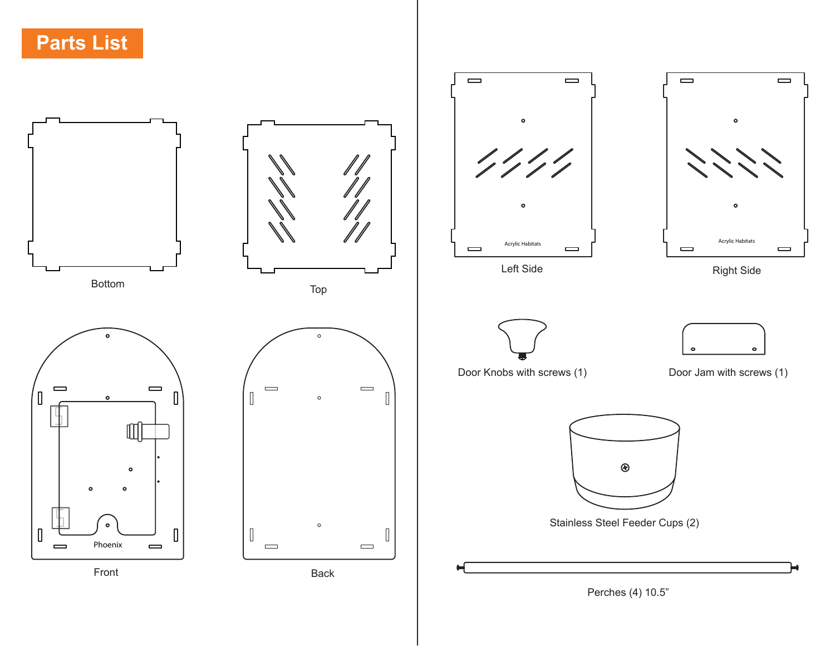**Parts List**

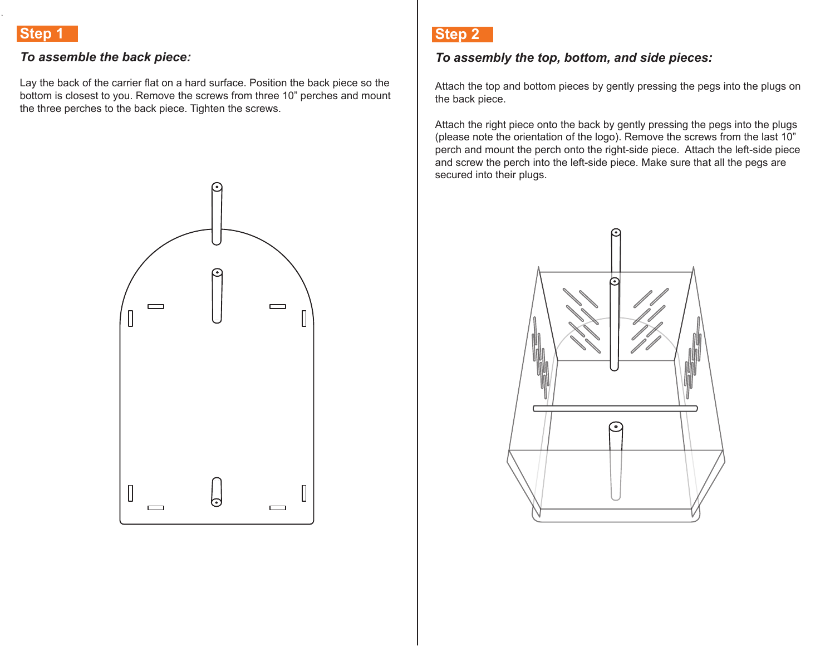#### *To assemble the back piece:*

Lay the back of the carrier flat on a hard surface. Position the back piece so the bottom is closest to you. Remove the screws from three 10" perches and mount the three perches to the back piece. Tighten the screws.



## **Step 2**

#### *To assembly the top, bottom, and side pieces:*

Attach the top and bottom pieces by gently pressing the pegs into the plugs on the back piece.

Attach the right piece onto the back by gently pressing the pegs into the plugs (please note the orientation of the logo). Remove the screws from the last 10" perch and mount the perch onto the right-side piece. Attach the left-side piece and screw the perch into the left-side piece. Make sure that all the pegs are secured into their plugs.